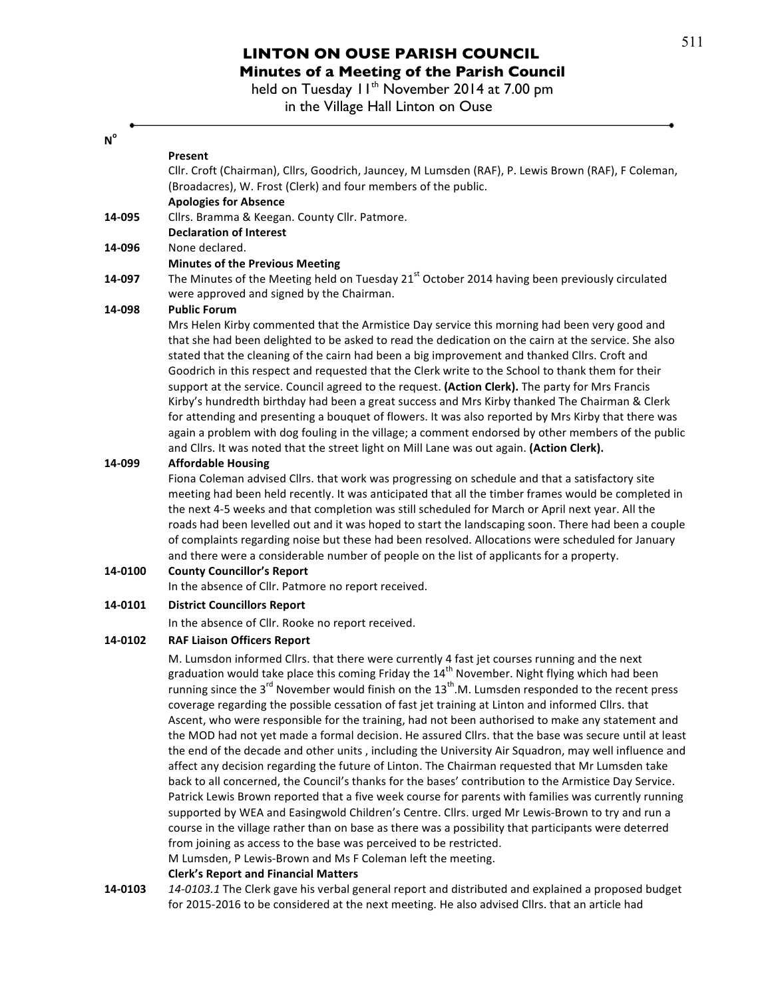## **LINTON ON OUSE PARISH COUNCIL Minutes of a Meeting of the Parish Council**

held on Tuesday 11<sup>th</sup> November 2014 at 7.00 pm in the Village Hall Linton on Ouse

## **No**

| N       |                                                                                                                           |
|---------|---------------------------------------------------------------------------------------------------------------------------|
|         | Present                                                                                                                   |
|         | Cllr. Croft (Chairman), Cllrs, Goodrich, Jauncey, M Lumsden (RAF), P. Lewis Brown (RAF), F Coleman,                       |
|         | (Broadacres), W. Frost (Clerk) and four members of the public.                                                            |
|         | <b>Apologies for Absence</b>                                                                                              |
| 14-095  | Cllrs. Bramma & Keegan. County Cllr. Patmore.                                                                             |
|         | <b>Declaration of Interest</b>                                                                                            |
| 14-096  | None declared.                                                                                                            |
|         | <b>Minutes of the Previous Meeting</b>                                                                                    |
| 14-097  | The Minutes of the Meeting held on Tuesday 21 <sup>st</sup> October 2014 having been previously circulated                |
|         | were approved and signed by the Chairman.                                                                                 |
| 14-098  | <b>Public Forum</b>                                                                                                       |
|         | Mrs Helen Kirby commented that the Armistice Day service this morning had been very good and                              |
|         | that she had been delighted to be asked to read the dedication on the cairn at the service. She also                      |
|         | stated that the cleaning of the cairn had been a big improvement and thanked Cllrs. Croft and                             |
|         | Goodrich in this respect and requested that the Clerk write to the School to thank them for their                         |
|         | support at the service. Council agreed to the request. (Action Clerk). The party for Mrs Francis                          |
|         | Kirby's hundredth birthday had been a great success and Mrs Kirby thanked The Chairman & Clerk                            |
|         | for attending and presenting a bouquet of flowers. It was also reported by Mrs Kirby that there was                       |
|         | again a problem with dog fouling in the village; a comment endorsed by other members of the public                        |
|         | and Cllrs. It was noted that the street light on Mill Lane was out again. (Action Clerk).                                 |
| 14-099  | <b>Affordable Housing</b>                                                                                                 |
|         | Fiona Coleman advised Cllrs. that work was progressing on schedule and that a satisfactory site                           |
|         | meeting had been held recently. It was anticipated that all the timber frames would be completed in                       |
|         | the next 4-5 weeks and that completion was still scheduled for March or April next year. All the                          |
|         | roads had been levelled out and it was hoped to start the landscaping soon. There had been a couple                       |
|         | of complaints regarding noise but these had been resolved. Allocations were scheduled for January                         |
|         | and there were a considerable number of people on the list of applicants for a property.                                  |
| 14-0100 | <b>County Councillor's Report</b>                                                                                         |
|         | In the absence of Cllr. Patmore no report received.                                                                       |
| 14-0101 | <b>District Councillors Report</b>                                                                                        |
|         | In the absence of Cllr. Rooke no report received.                                                                         |
| 14-0102 | <b>RAF Liaison Officers Report</b>                                                                                        |
|         | M. Lumsdon informed Cllrs. that there were currently 4 fast jet courses running and the next                              |
|         | graduation would take place this coming Friday the 14 <sup>th</sup> November. Night flying which had been                 |
|         | running since the 3 <sup>rd</sup> November would finish on the 13 <sup>th</sup> .M. Lumsden responded to the recent press |
|         | coverage regarding the possible cessation of fast jet training at Linton and informed Cllrs. that                         |
|         | Ascent, who were responsible for the training, had not been authorised to make any statement and                          |
|         | the MOD had not yet made a formal decision. He assured Cllrs. that the base was secure until at least                     |
|         | the end of the decade and other units, including the University Air Squadron, may well influence and                      |
|         | affect any decision regarding the future of Linton. The Chairman requested that Mr Lumsden take                           |
|         | back to all concerned, the Council's thanks for the bases' contribution to the Armistice Day Service.                     |
|         | Patrick Lewis Brown reported that a five week course for parents with families was currently running                      |
|         | supported by WEA and Easingwold Children's Centre. Cllrs. urged Mr Lewis-Brown to try and run a                           |
|         | course in the village rather than on base as there was a possibility that participants were deterred                      |
|         | from joining as access to the base was perceived to be restricted.                                                        |
|         | M Lumsden, P Lewis-Brown and Ms F Coleman left the meeting.                                                               |
|         | <b>Clerk's Report and Financial Matters</b>                                                                               |

**14-0103** 14-0103.1 The Clerk gave his verbal general report and distributed and explained a proposed budget for 2015-2016 to be considered at the next meeting. He also advised Cllrs. that an article had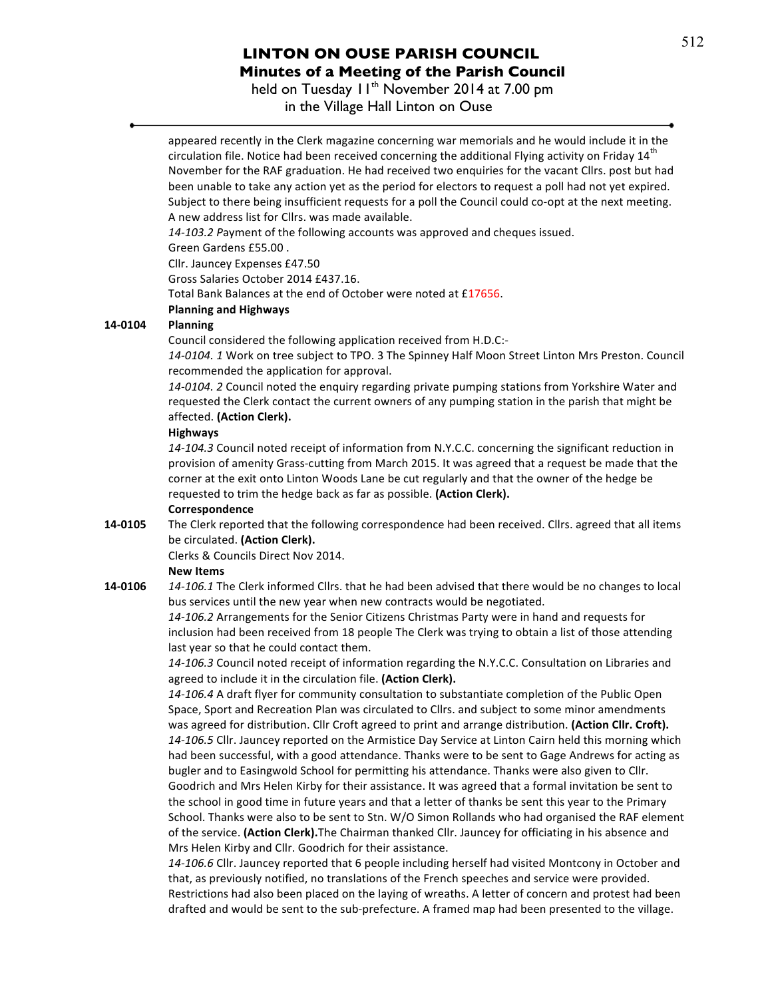## **LINTON ON OUSE PARISH COUNCIL Minutes of a Meeting of the Parish Council**

held on Tuesday 11<sup>th</sup> November 2014 at 7.00 pm

in the Village Hall Linton on Ouse



that, as previously notified, no translations of the French speeches and service were provided. Restrictions had also been placed on the laying of wreaths. A letter of concern and protest had been drafted and would be sent to the sub-prefecture. A framed map had been presented to the village.